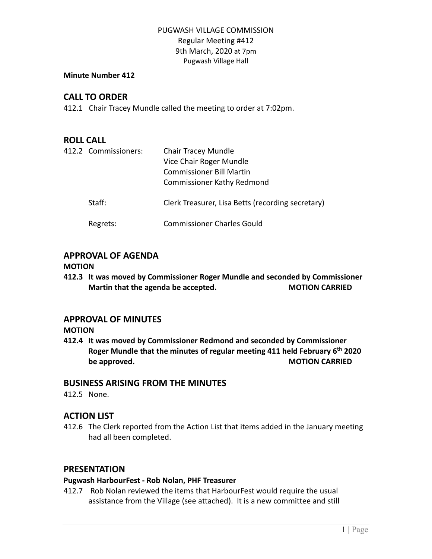# PUGWASH VILLAGE COMMISSION Regular Meeting #412 9th March, 2020 at 7pm Pugwash Village Hall

#### **Minute Number 412**

# **CALL TO ORDER**

412.1 Chair Tracey Mundle called the meeting to order at 7:02pm.

### **ROLL CALL**

| 412.2 Commissioners: | Chair Tracey Mundle<br>Vice Chair Roger Mundle<br><b>Commissioner Bill Martin</b><br><b>Commissioner Kathy Redmond</b> |
|----------------------|------------------------------------------------------------------------------------------------------------------------|
| Staff:               | Clerk Treasurer, Lisa Betts (recording secretary)                                                                      |
| Regrets:             | <b>Commissioner Charles Gould</b>                                                                                      |

# **APPROVAL OF AGENDA**

#### **MOTION**

**412.3 It was moved by Commissioner Roger Mundle and seconded by Commissioner Martin that the agenda be accepted. MOTION CARRIED**

### **APPROVAL OF MINUTES**

**MOTION**

**412.4 It was moved by Commissioner Redmond and seconded by Commissioner Roger Mundle that the minutes of regular meeting 411 held February 6 th 2020 be** approved. **MOTION CARRIED** 

### **BUSINESS ARISING FROM THE MINUTES**

412.5 None.

# **ACTION LIST**

412.6 The Clerk reported from the Action List that items added in the January meeting had all been completed.

# **PRESENTATION**

### **Pugwash HarbourFest - Rob Nolan, PHF Treasurer**

412.7 Rob Nolan reviewed the items that HarbourFest would require the usual assistance from the Village (see attached). It is a new committee and still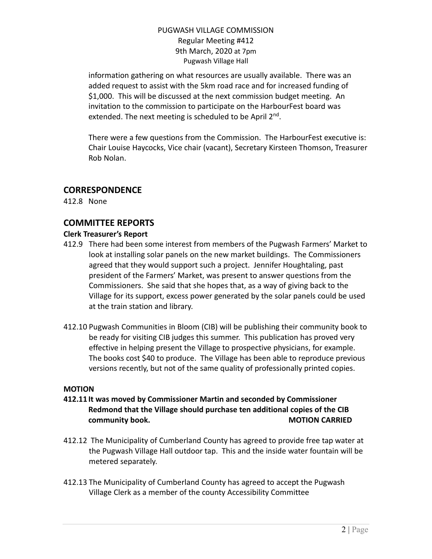### PUGWASH VILLAGE COMMISSION Regular Meeting #412 9th March, 2020 at 7pm Pugwash Village Hall

information gathering on what resources are usually available. There was an added request to assist with the 5km road race and for increased funding of \$1,000. This will be discussed at the next commission budget meeting. An invitation to the commission to participate on the HarbourFest board was extended. The next meeting is scheduled to be April 2<sup>nd</sup>.

There were a few questions from the Commission. The HarbourFest executive is: Chair Louise Haycocks, Vice chair (vacant), Secretary Kirsteen Thomson, Treasurer Rob Nolan.

# **CORRESPONDENCE**

412.8 None

# **COMMITTEE REPORTS**

### **Clerk Treasurer's Report**

- 412.9 There had been some interest from members of the Pugwash Farmers' Market to look at installing solar panels on the new market buildings. The Commissioners agreed that they would support such a project. Jennifer Houghtaling, past president of the Farmers' Market, was present to answer questions from the Commissioners. She said that she hopes that, as a way of giving back to the Village for its support, excess power generated by the solar panels could be used at the train station and library.
- 412.10 Pugwash Communities in Bloom (CIB) will be publishing their community book to be ready for visiting CIB judges this summer. This publication has proved very effective in helping present the Village to prospective physicians, for example. The books cost \$40 to produce. The Village has been able to reproduce previous versions recently, but not of the same quality of professionally printed copies.

#### **MOTION**

- **412.11 It was moved by Commissioner Martin and seconded by Commissioner Redmond that the Village should purchase ten additional copies of the CIB community book. MOTION CARRIED**
- 412.12 The Municipality of Cumberland County has agreed to provide free tap water at the Pugwash Village Hall outdoor tap. This and the inside water fountain will be metered separately.
- 412.13 The Municipality of Cumberland County has agreed to accept the Pugwash Village Clerk as a member of the county Accessibility Committee